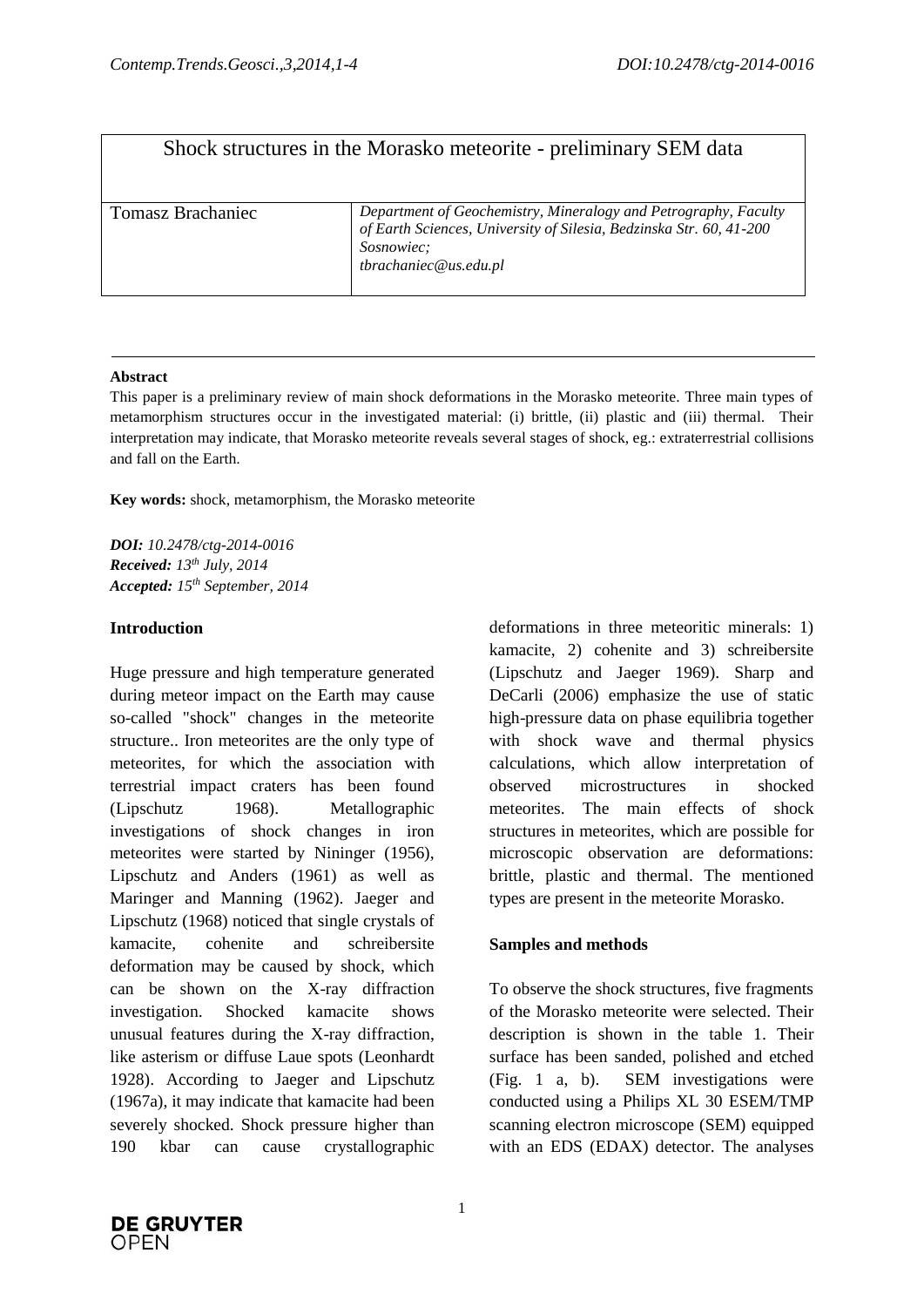# Shock structures in the Morasko meteorite - preliminary SEM data

### **Abstract**

This paper is a preliminary review of main shock deformations in the Morasko meteorite. Three main types of metamorphism structures occur in the investigated material: (i) brittle, (ii) plastic and (iii) thermal. Their interpretation may indicate, that Morasko meteorite reveals several stages of shock, eg.: extraterrestrial collisions and fall on the Earth.

**Key words:** shock, metamorphism, the Morasko meteorite

*DOI: 10.2478/ctg-2014-0016 Received: 13 th July, 2014 Accepted: 15 th September, 2014*

## **Introduction**

Huge pressure and high temperature generated during meteor impact on the Earth may cause so-called "shock" changes in the meteorite structure.. Iron meteorites are the only type of meteorites, for which the association with terrestrial impact craters has been found (Lipschutz 1968). Metallographic investigations of shock changes in iron meteorites were started by Nininger (1956), Lipschutz and Anders (1961) as well as Maringer and Manning (1962). Jaeger and Lipschutz (1968) noticed that single crystals of kamacite, cohenite and schreibersite deformation may be caused by shock, which can be shown on the X-ray diffraction investigation. Shocked kamacite shows unusual features during the X-ray diffraction, like asterism or diffuse Laue spots (Leonhardt 1928). According to Jaeger and Lipschutz (1967a), it may indicate that kamacite had been severely shocked. Shock pressure higher than 190 kbar can cause crystallographic deformations in three meteoritic minerals: 1) kamacite, 2) cohenite and 3) schreibersite (Lipschutz and Jaeger 1969). Sharp and DeCarli (2006) emphasize the use of static high-pressure data on phase equilibria together with shock wave and thermal physics calculations, which allow interpretation of observed microstructures in shocked meteorites. The main effects of shock structures in meteorites, which are possible for microscopic observation are deformations: brittle, plastic and thermal. The mentioned types are present in the meteorite Morasko.

## **Samples and methods**

To observe the shock structures, five fragments of the Morasko meteorite were selected. Their description is shown in the table 1. Their surface has been sanded, polished and etched (Fig. 1 a, b). SEM investigations were conducted using a Philips XL 30 ESEM/TMP scanning electron microscope (SEM) equipped with an EDS (EDAX) detector. The analyses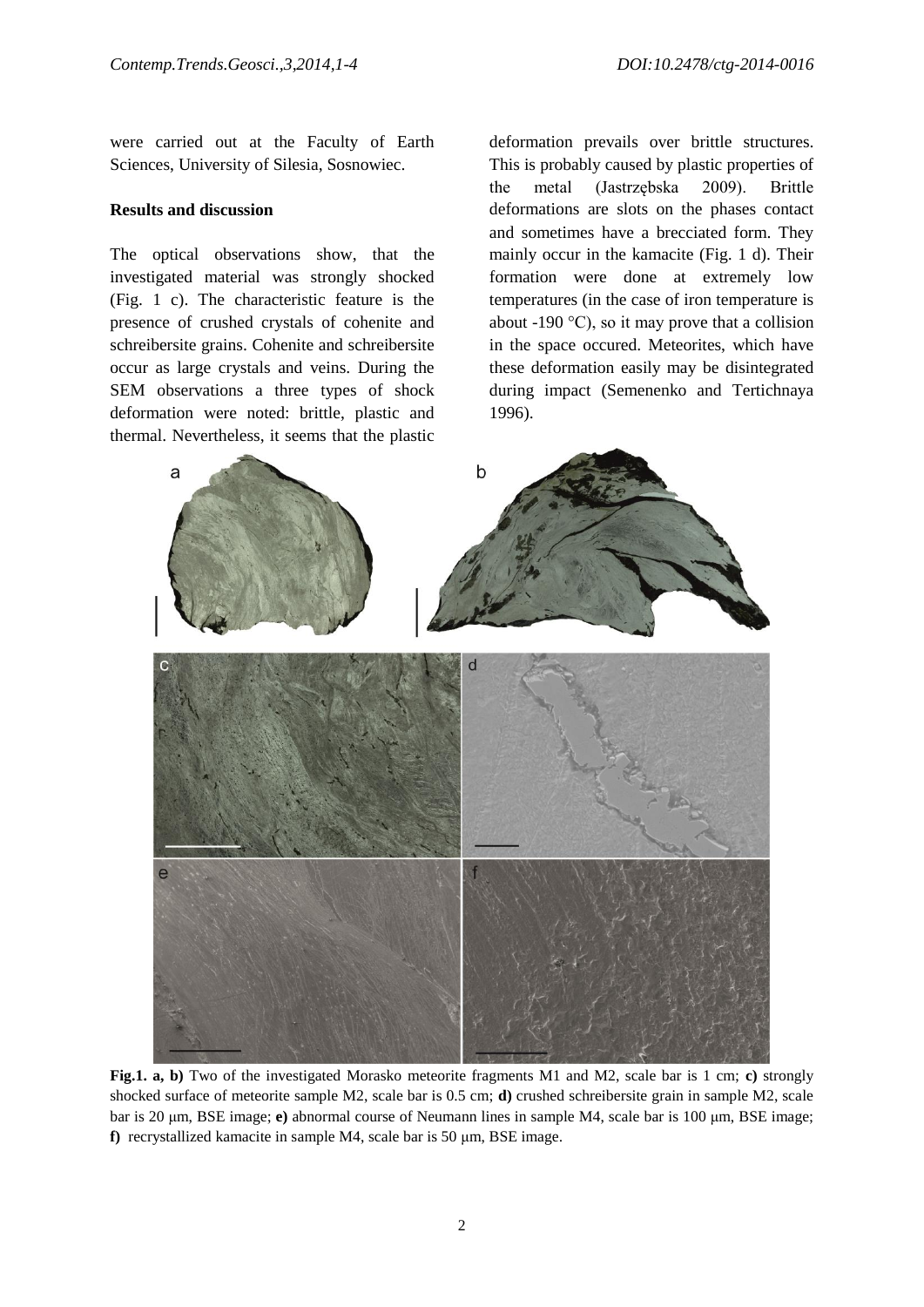were carried out at the Faculty of Earth Sciences, University of Silesia, Sosnowiec.

#### **Results and discussion**

The optical observations show, that the investigated material was strongly shocked (Fig. 1 c). The characteristic feature is the presence of crushed crystals of cohenite and schreibersite grains. Cohenite and schreibersite occur as large crystals and veins. During the SEM observations a three types of shock deformation were noted: brittle, plastic and thermal. Nevertheless, it seems that the plastic deformation prevails over brittle structures. This is probably caused by plastic properties of the metal (Jastrzębska 2009). Brittle deformations are slots on the phases contact and sometimes have a brecciated form. They mainly occur in the kamacite (Fig. 1 d). Their formation were done at extremely low temperatures (in the case of iron temperature is about -190  $^{\circ}$ C), so it may prove that a collision in the space occured. Meteorites, which have these deformation easily may be disintegrated during impact (Semenenko and Tertichnaya 1996).



**Fig.1. a, b)** Two of the investigated Morasko meteorite fragments M1 and M2, scale bar is 1 cm; **c)** strongly shocked surface of meteorite sample M2, scale bar is 0.5 cm; **d)** crushed schreibersite grain in sample M2, scale bar is 20 μm, BSE image; **e)** abnormal course of Neumann lines in sample M4, scale bar is 100 μm, BSE image; **f)** recrystallized kamacite in sample M4, scale bar is 50 μm, BSE image.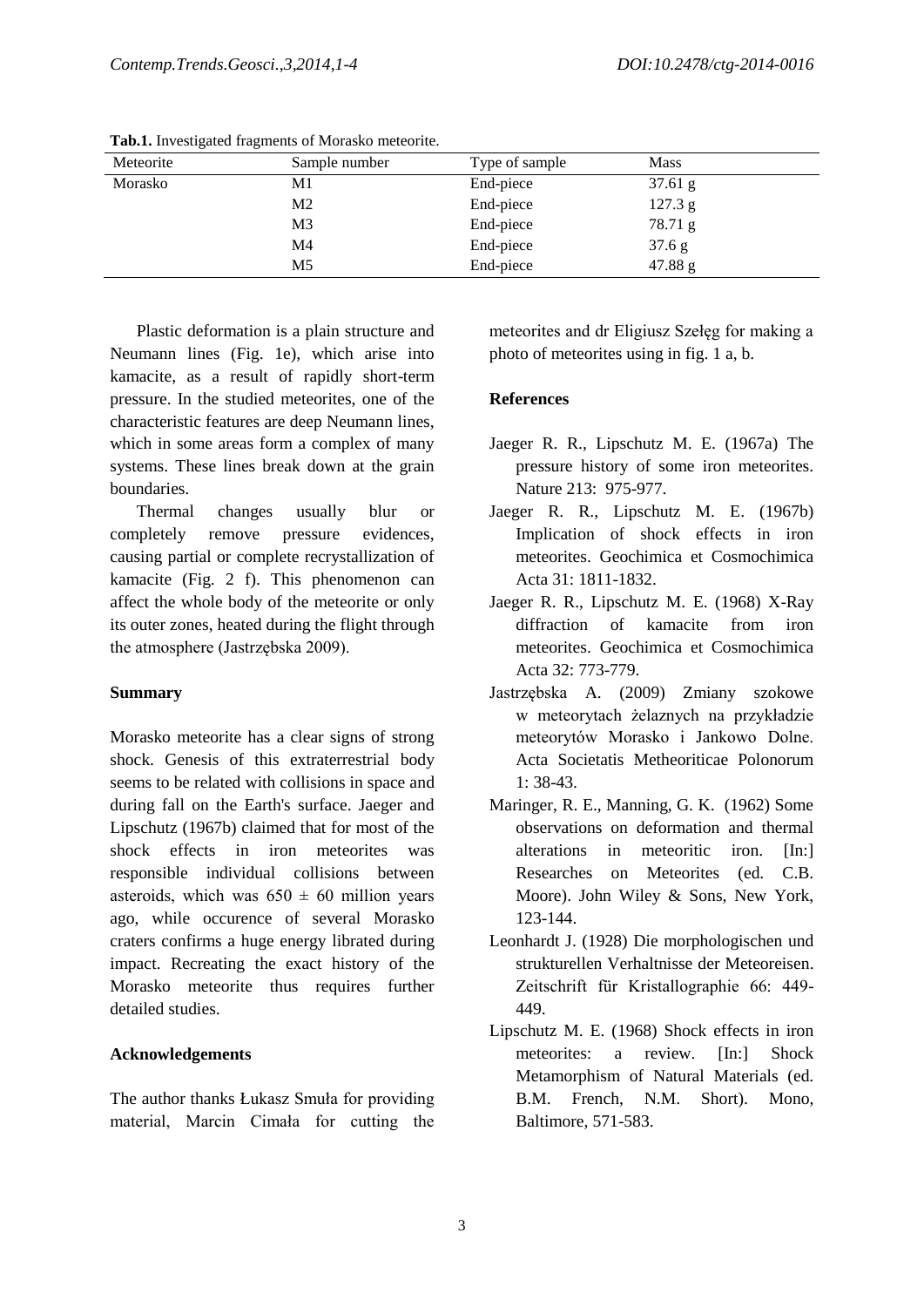| Meteorite | Sample number  | Type of sample | <b>Mass</b>      |
|-----------|----------------|----------------|------------------|
| Morasko   | M1             | End-piece      | $37.61\text{ g}$ |
|           | M <sub>2</sub> | End-piece      | 127.3 g          |
|           | M <sub>3</sub> | End-piece      | 78.71 g          |
|           | M4             | End-piece      | 37.6 g           |
|           | M5             | End-piece      | 47.88 g          |

**Tab.1.** Investigated fragments of Morasko meteorite.

Plastic deformation is a plain structure and Neumann lines (Fig. 1e), which arise into kamacite, as a result of rapidly short-term pressure. In the studied meteorites, one of the characteristic features are deep Neumann lines, which in some areas form a complex of many systems. These lines break down at the grain boundaries.

Thermal changes usually blur or completely remove pressure evidences, causing partial or complete recrystallization of kamacite (Fig. 2 f). This phenomenon can affect the whole body of the meteorite or only its outer zones, heated during the flight through the atmosphere (Jastrzębska 2009).

#### **Summary**

Morasko meteorite has a clear signs of strong shock. Genesis of this extraterrestrial body seems to be related with collisions in space and during fall on the Earth's surface. Jaeger and Lipschutz (1967b) claimed that for most of the shock effects in iron meteorites was responsible individual collisions between asteroids, which was  $650 \pm 60$  million years ago, while occurence of several Morasko craters confirms a huge energy librated during impact. Recreating the exact history of the Morasko meteorite thus requires further detailed studies.

#### **Acknowledgements**

The author thanks Łukasz Smuła for providing material, Marcin Cimała for cutting the

meteorites and dr Eligiusz Szełęg for making a photo of meteorites using in fig. 1 a, b.

#### **References**

- Jaeger R. R., Lipschutz M. E. (1967a) The pressure history of some iron meteorites. Nature 213: 975-977.
- Jaeger R. R., Lipschutz M. E. (1967b) Implication of shock effects in iron meteorites. Geochimica et Cosmochimica Acta 31: 1811-1832.
- Jaeger R. R., Lipschutz M. E. (1968) X-Ray diffraction of kamacite from iron meteorites. Geochimica et Cosmochimica Acta 32: 773-779.
- Jastrzębska A. (2009) Zmiany szokowe w meteorytach żelaznych na przykładzie meteorytów Morasko i Jankowo Dolne. Acta Societatis Metheoriticae Polonorum 1: 38-43.
- Maringer, R. E., Manning, G. K. (1962) Some observations on deformation and thermal alterations in meteoritic iron. [In:] Researches on Meteorites (ed. C.B. Moore). John Wiley & Sons, New York, 123-144.
- Leonhardt J. (1928) Die morphologischen und strukturellen Verhaltnisse der Meteoreisen. Zeitschrift für Kristallographie 66: 449- 449.
- Lipschutz M. E. (1968) Shock effects in iron meteorites: a review. [In:] Shock Metamorphism of Natural Materials (ed. B.M. French, N.M. Short). Mono, Baltimore, 571-583.